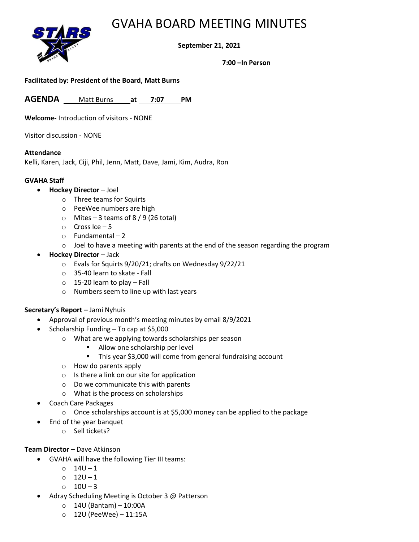## GVAHA BOARD MEETING MINUTES



## **September 21, 2021**

**7:00 –In Person**

#### **Facilitated by: President of the Board, Matt Burns**

**AGENDA** *<sup>U</sup>*Matt Burns *<sup>U</sup>***at** *U* **7:07** *U***PM**

**Welcome-** Introduction of visitors - NONE

Visitor discussion - NONE

#### **Attendance**

Kelli, Karen, Jack, Ciji, Phil, Jenn, Matt, Dave, Jami, Kim, Audra, Ron

#### **GVAHA Staff**

- **Hockey Director** Joel
	- o Three teams for Squirts
	- o PeeWee numbers are high
	- $\circ$  Mites 3 teams of 8 / 9 (26 total)
	- $\circ$  Cross Ice 5
	- o Fundamental 2
	- $\circ$  Joel to have a meeting with parents at the end of the season regarding the program
- **Hockey Director** Jack
	- o Evals for Squirts 9/20/21; drafts on Wednesday 9/22/21
	- o 35-40 learn to skate Fall
	- o 15-20 learn to play Fall
	- o Numbers seem to line up with last years

### **Secretary's Report –** Jami Nyhuis

- Approval of previous month's meeting minutes by email 8/9/2021
- Scholarship Funding To cap at \$5,000
	- o What are we applying towards scholarships per season
		- Allow one scholarship per level
		- This year \$3,000 will come from general fundraising account
	- o How do parents apply
	- o Is there a link on our site for application
	- o Do we communicate this with parents
	- o What is the process on scholarships
- Coach Care Packages
	- o Once scholarships account is at \$5,000 money can be applied to the package
	- End of the year banquet
		- o Sell tickets?

### **Team Director –** Dave Atkinson

- GVAHA will have the following Tier III teams:
	- $\circ$  14U-1
	- $0 12U 1$
	- o 10U 3
- Adray Scheduling Meeting is October 3 @ Patterson
	- $\circ$  14U (Bantam) 10:00A
	- o 12U (PeeWee) 11:15A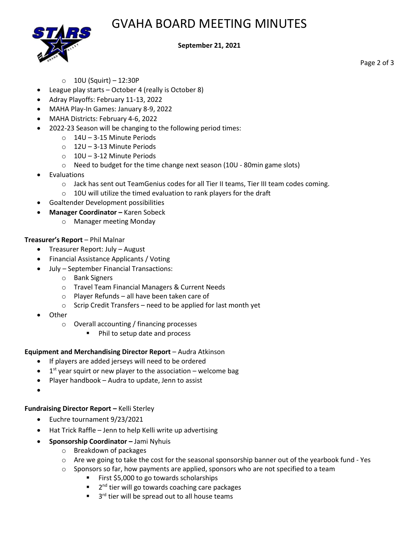# GVAHA BOARD MEETING MINUTES



### **September 21, 2021**

Page 2 of 3

- $\circ$  10U (Squirt) 12:30P
- League play starts October 4 (really is October 8)
- Adray Playoffs: February 11-13, 2022
- MAHA Play-In Games: January 8-9, 2022
- MAHA Districts: February 4-6, 2022
- 2022-23 Season will be changing to the following period times:
	- o 14U 3-15 Minute Periods
	- o 12U 3-13 Minute Periods
	- o 10U 3-12 Minute Periods
	- o Need to budget for the time change next season (10U 80min game slots)
- **Evaluations** 
	- o Jack has sent out TeamGenius codes for all Tier II teams, Tier III team codes coming.
	- $\circ$  10U will utilize the timed evaluation to rank players for the draft
- Goaltender Development possibilities
- **Manager Coordinator –** Karen Sobeck
	- o Manager meeting Monday

## **Treasurer's Report** – Phil Malnar

- Treasurer Report: July August
- Financial Assistance Applicants / Voting
	- July September Financial Transactions:
		- o Bank Signers
		- o Travel Team Financial Managers & Current Needs
		- o Player Refunds all have been taken care of
		- o Scrip Credit Transfers need to be applied for last month yet
- Other
	- o Overall accounting / financing processes
		- Phil to setup date and process

## **Equipment and Merchandising Director Report** – Audra Atkinson

- If players are added jerseys will need to be ordered
- $\bullet$  1<sup>st</sup> year squirt or new player to the association welcome bag
- Player handbook Audra to update, Jenn to assist
- •

## **Fundraising Director Report –** Kelli Sterley

- Euchre tournament 9/23/2021
- Hat Trick Raffle Jenn to help Kelli write up advertising
- **Sponsorship Coordinator –** Jami Nyhuis
	- o Breakdown of packages
	- $\circ$  Are we going to take the cost for the seasonal sponsorship banner out of the yearbook fund Yes
	- $\circ$  Sponsors so far, how payments are applied, sponsors who are not specified to a team
		- First \$5,000 to go towards scholarships
		- 2<sup>nd</sup> tier will go towards coaching care packages
		- 3 3<sup>rd</sup> tier will be spread out to all house teams